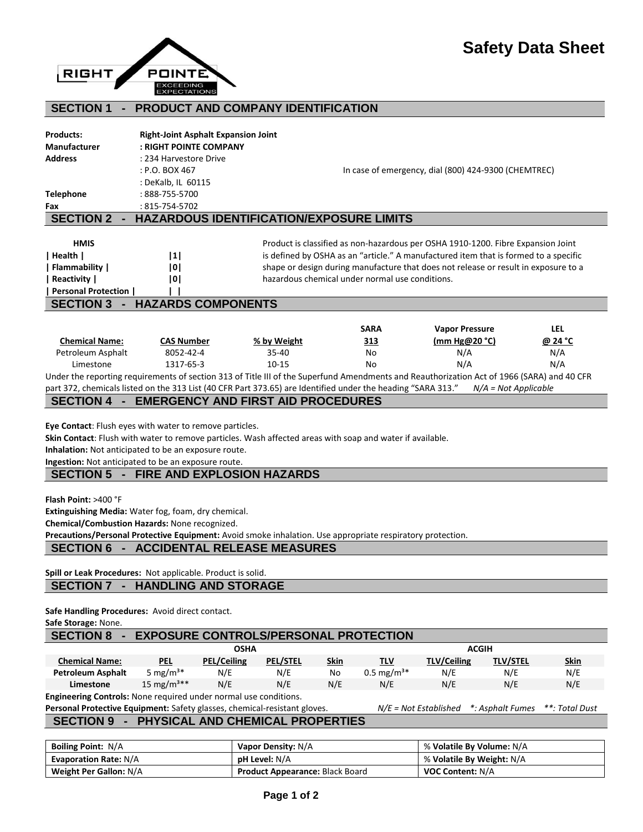

#### **SECTION 1 - PRODUCT AND COMPANY IDENTIFICATION**

| <b>Products:</b>                   | <b>Right-Joint Asphalt Expansion Joint</b> |                                                                                      |  |  |
|------------------------------------|--------------------------------------------|--------------------------------------------------------------------------------------|--|--|
| <b>Manufacturer</b>                | : RIGHT POINTE COMPANY                     |                                                                                      |  |  |
| <b>Address</b>                     | : 234 Harvestore Drive                     |                                                                                      |  |  |
|                                    | $:$ P.O. BOX 467                           | In case of emergency, dial (800) 424-9300 (CHEMTREC)                                 |  |  |
|                                    | : DeKalb, IL 60115                         |                                                                                      |  |  |
| <b>Telephone</b>                   | $:888-755-5700$                            |                                                                                      |  |  |
| Fax                                | $:815-754-5702$                            |                                                                                      |  |  |
| <b>SECTION 2</b>                   | $\blacksquare$                             | <b>HAZARDOUS IDENTIFICATION/EXPOSURE LIMITS</b>                                      |  |  |
| <b>HMIS</b>                        |                                            | Product is classified as non-hazardous per OSHA 1910-1200. Fibre Expansion Joint     |  |  |
| Health                             | 1                                          | is defined by OSHA as an "article." A manufactured item that is formed to a specific |  |  |
| Flammability                       | 101                                        | shape or design during manufacture that does not release or result in exposure to a  |  |  |
| Reactivity                         | 101                                        | hazardous chemical under normal use conditions.                                      |  |  |
| Personal Protection                |                                            |                                                                                      |  |  |
|                                    | <b>HAZARDS COMPONENTS</b>                  |                                                                                      |  |  |
| <b>SECTION 3</b><br>$\blacksquare$ |                                            |                                                                                      |  |  |
|                                    |                                            |                                                                                      |  |  |

| <b>Chemical Name:</b>                                                                                                                      | <b>CAS Number</b> | % by Weight                                                                                                  | <u>313</u> | (mm Hg@20 °C)        | @ 24 °C |  |
|--------------------------------------------------------------------------------------------------------------------------------------------|-------------------|--------------------------------------------------------------------------------------------------------------|------------|----------------------|---------|--|
| Petroleum Asphalt                                                                                                                          | 8052-42-4         | 35-40                                                                                                        | No         | N/A                  | N/A     |  |
| Limestone                                                                                                                                  | 1317-65-3         | $10-15$                                                                                                      | No         | N/A                  | N/A     |  |
| Under the reporting requirements of section 313 of Title III of the Superfund Amendments and Reauthorization Act of 1966 (SARA) and 40 CFR |                   |                                                                                                              |            |                      |         |  |
|                                                                                                                                            |                   | part 372, chemicals listed on the 313 List (40 CFR Part 373.65) are Identified under the heading "SARA 313." |            | N/A = Not Applicable |         |  |

#### **SECTION 4 - EMERGENCY AND FIRST AID PROCEDURES**

**Eye Contact**: Flush eyes with water to remove particles.

**Skin Contact**: Flush with water to remove particles. Wash affected areas with soap and water if available.

**Inhalation:** Not anticipated to be an exposure route.

**Ingestion:** Not anticipated to be an exposure route.

### **SECTION 5 - FIRE AND EXPLOSION HAZARDS**

**Flash Point:** >400 °F

**Extinguishing Media:** Water fog, foam, dry chemical.

**Chemical/Combustion Hazards:** None recognized.

**Precautions/Personal Protective Equipment:** Avoid smoke inhalation. Use appropriate respiratory protection.

#### **SECTION 6 - ACCIDENTAL RELEASE MEASURES**

**Spill or Leak Procedures:** Not applicable. Product is solid.

### **SECTION 7 - HANDLING AND STORAGE**

**Safe Handling Procedures:** Avoid direct contact.

#### **Safe Storage:** None.

# **SECTION 8 - EXPOSURE CONTROLS/PERSONAL PROTECTION**

|                                                                         | <b>OSHA</b>            |                    |                 | <b>ACGIH</b> |                         |                    |                 |             |
|-------------------------------------------------------------------------|------------------------|--------------------|-----------------|--------------|-------------------------|--------------------|-----------------|-------------|
| <b>Chemical Name:</b>                                                   | <b>PEL</b>             | <b>PEL/Ceiling</b> | <b>PEL/STEL</b> | Skin         | TLV                     | <b>TLV/Ceiling</b> | <b>TLV/STEL</b> | <b>Skin</b> |
| <b>Petroleum Asphalt</b>                                                | 5 mg/m <sup>3*</sup>   | N/E                | N/E             | No           | $0.5 \text{ mg/m}^{3*}$ | N/E                | N/E             | N/E         |
| Limestone                                                               | 15 mg/m <sup>3**</sup> | N/E                | N/E             | N/E          | N/E                     | N/E                | N/E             | N/E         |
| <b>Engineering Controls:</b> None required under normal use conditions. |                        |                    |                 |              |                         |                    |                 |             |

**Personal Protective Equipment:** Safety glasses, chemical-resistant gloves. *N/E = Not Established \*: Asphalt Fumes \*\*: Total Dust* **SECTION 9 - PHYSICAL AND CHEMICAL PROPERTIES**

| <b>Boiling Point: N/A</b>     | Vapor Density: N/A                     | % Volatile By Volume: N/A |
|-------------------------------|----------------------------------------|---------------------------|
| <b>Evaporation Rate: N/A</b>  | <b>pH Level:</b> N/A                   | % Volatile By Weight: N/A |
| <b>Weight Per Gallon: N/A</b> | <b>Product Appearance: Black Board</b> | <b>VOC Content: N/A</b>   |